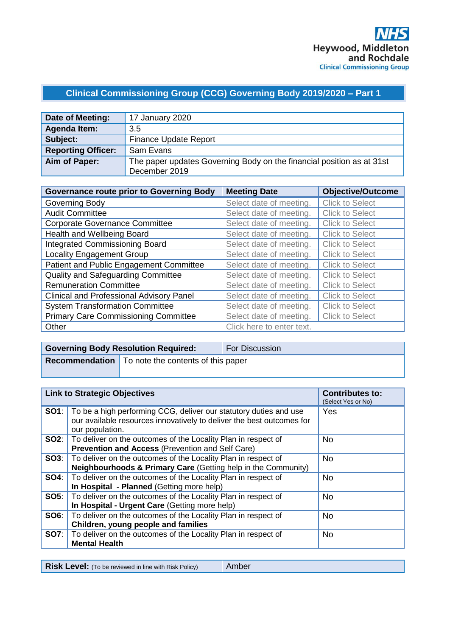# **Clinical Commissioning Group (CCG) Governing Body 2019/2020 – Part 1**

| Date of Meeting:          | 17 January 2020                                                       |
|---------------------------|-----------------------------------------------------------------------|
| Agenda Item:              | 3.5                                                                   |
| Subject:                  | <b>Finance Update Report</b>                                          |
| <b>Reporting Officer:</b> | Sam Evans                                                             |
| Aim of Paper:             | The paper updates Governing Body on the financial position as at 31st |
|                           | December 2019                                                         |

| <b>Governance route prior to Governing Body</b> | <b>Meeting Date</b>       | <b>Objective/Outcome</b> |
|-------------------------------------------------|---------------------------|--------------------------|
| Governing Body                                  | Select date of meeting.   | <b>Click to Select</b>   |
| <b>Audit Committee</b>                          | Select date of meeting.   | <b>Click to Select</b>   |
| <b>Corporate Governance Committee</b>           | Select date of meeting.   | <b>Click to Select</b>   |
| Health and Wellbeing Board                      | Select date of meeting.   | <b>Click to Select</b>   |
| <b>Integrated Commissioning Board</b>           | Select date of meeting.   | <b>Click to Select</b>   |
| <b>Locality Engagement Group</b>                | Select date of meeting.   | <b>Click to Select</b>   |
| Patient and Public Engagement Committee         | Select date of meeting.   | <b>Click to Select</b>   |
| <b>Quality and Safeguarding Committee</b>       | Select date of meeting.   | <b>Click to Select</b>   |
| <b>Remuneration Committee</b>                   | Select date of meeting.   | <b>Click to Select</b>   |
| <b>Clinical and Professional Advisory Panel</b> | Select date of meeting.   | <b>Click to Select</b>   |
| <b>System Transformation Committee</b>          | Select date of meeting.   | <b>Click to Select</b>   |
| <b>Primary Care Commissioning Committee</b>     | Select date of meeting.   | <b>Click to Select</b>   |
| Other                                           | Click here to enter text. |                          |

| <b>Governing Body Resolution Required:</b>                 | <b>For Discussion</b> |
|------------------------------------------------------------|-----------------------|
| <b>Recommendation</b>   To note the contents of this paper |                       |
|                                                            |                       |

|             | <b>Link to Strategic Objectives</b>                                                                                                                           | <b>Contributes to:</b><br>(Select Yes or No) |
|-------------|---------------------------------------------------------------------------------------------------------------------------------------------------------------|----------------------------------------------|
| SO1:        | To be a high performing CCG, deliver our statutory duties and use<br>our available resources innovatively to deliver the best outcomes for<br>our population. | Yes                                          |
|             | <b>SO2:</b>   To deliver on the outcomes of the Locality Plan in respect of<br>Prevention and Access (Prevention and Self Care)                               | No.                                          |
| SO3:        | To deliver on the outcomes of the Locality Plan in respect of<br>Neighbourhoods & Primary Care (Getting help in the Community)                                | <b>No</b>                                    |
| <b>SO4:</b> | To deliver on the outcomes of the Locality Plan in respect of<br>In Hospital - Planned (Getting more help)                                                    | <b>No</b>                                    |
| SO5:        | To deliver on the outcomes of the Locality Plan in respect of<br>In Hospital - Urgent Care (Getting more help)                                                | <b>No</b>                                    |
| SO6:        | To deliver on the outcomes of the Locality Plan in respect of<br>Children, young people and families                                                          | <b>No</b>                                    |
| SO7:        | To deliver on the outcomes of the Locality Plan in respect of<br><b>Mental Health</b>                                                                         | <b>No</b>                                    |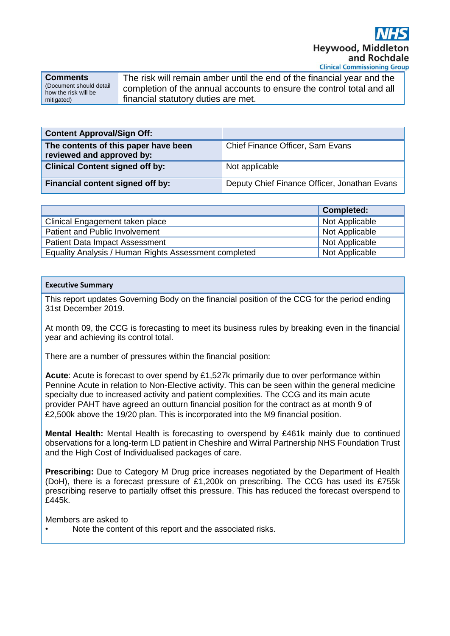**Comments** (Document should detail how the risk will be mitigated)

The risk will remain amber until the end of the financial year and the completion of the annual accounts to ensure the control total and all financial statutory duties are met.

| <b>Content Approval/Sign Off:</b>                                 |                                              |
|-------------------------------------------------------------------|----------------------------------------------|
| The contents of this paper have been<br>reviewed and approved by: | Chief Finance Officer, Sam Evans             |
| <b>Clinical Content signed off by:</b>                            | Not applicable                               |
| Financial content signed off by:                                  | Deputy Chief Finance Officer, Jonathan Evans |

|                                                       | <b>Completed:</b> |
|-------------------------------------------------------|-------------------|
| Clinical Engagement taken place                       | Not Applicable    |
| Patient and Public Involvement                        | Not Applicable    |
| <b>Patient Data Impact Assessment</b>                 | Not Applicable    |
| Equality Analysis / Human Rights Assessment completed | Not Applicable    |

#### **Executive Summary**

This report updates Governing Body on the financial position of the CCG for the period ending 31st December 2019.

At month 09, the CCG is forecasting to meet its business rules by breaking even in the financial year and achieving its control total.

There are a number of pressures within the financial position:

**Acute**: Acute is forecast to over spend by £1,527k primarily due to over performance within Pennine Acute in relation to Non-Elective activity. This can be seen within the general medicine specialty due to increased activity and patient complexities. The CCG and its main acute provider PAHT have agreed an outturn financial position for the contract as at month 9 of £2,500k above the 19/20 plan. This is incorporated into the M9 financial position.

**Mental Health:** Mental Health is forecasting to overspend by £461k mainly due to continued observations for a long-term LD patient in Cheshire and Wirral Partnership NHS Foundation Trust and the High Cost of Individualised packages of care.

**Prescribing:** Due to Category M Drug price increases negotiated by the Department of Health (DoH), there is a forecast pressure of £1,200k on prescribing. The CCG has used its £755k prescribing reserve to partially offset this pressure. This has reduced the forecast overspend to £445k.

Members are asked to

Note the content of this report and the associated risks.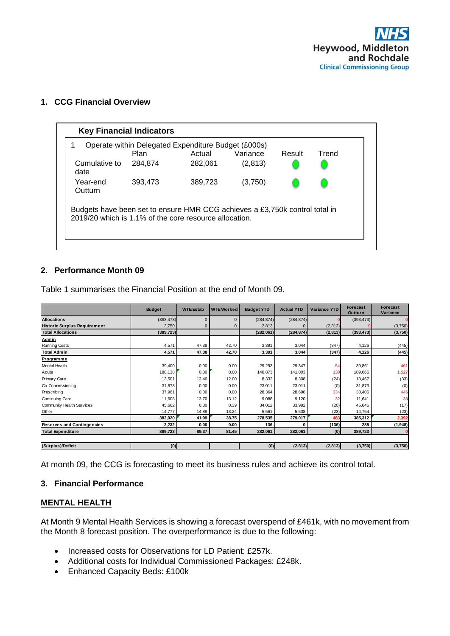

#### **1. CCG Financial Overview**

| Operate within Delegated Expenditure Budget (£000s)<br>Variance<br>Actual<br>Result<br>Plan<br>Trend<br>(2,813)<br>Cumulative to<br>282,061<br>284,874<br>date<br>Year-end<br>389,723<br>393,473<br>(3,750)<br><b>Outturn</b><br>Budgets have been set to ensure HMR CCG achieves a £3,750k control total in<br>2019/20 which is 1.1% of the core resource allocation. |  | <b>Key Financial Indicators</b> |  |  |  |  |  |  |  |
|------------------------------------------------------------------------------------------------------------------------------------------------------------------------------------------------------------------------------------------------------------------------------------------------------------------------------------------------------------------------|--|---------------------------------|--|--|--|--|--|--|--|
|                                                                                                                                                                                                                                                                                                                                                                        |  |                                 |  |  |  |  |  |  |  |
|                                                                                                                                                                                                                                                                                                                                                                        |  |                                 |  |  |  |  |  |  |  |
|                                                                                                                                                                                                                                                                                                                                                                        |  |                                 |  |  |  |  |  |  |  |
|                                                                                                                                                                                                                                                                                                                                                                        |  |                                 |  |  |  |  |  |  |  |
|                                                                                                                                                                                                                                                                                                                                                                        |  |                                 |  |  |  |  |  |  |  |

# **2. Performance Month 09**

Table 1 summarises the Financial Position at the end of Month 09.

|                                     | <b>Budget</b> | <b>WTE Estab</b> | <b>WTE Worked</b> | <b>Budget YTD</b> | <b>Actual YTD</b> | <b>Variance YTD</b> | <b>Forecast</b><br><b>Outturn</b> | <b>Forecast</b><br>Variance |
|-------------------------------------|---------------|------------------|-------------------|-------------------|-------------------|---------------------|-----------------------------------|-----------------------------|
| <b>Allocations</b>                  | (393, 473)    | $\Omega$         | $\Omega$          | (284, 874)        | (284, 874)        |                     | (393, 473)                        |                             |
| <b>Historic Surplus Requirement</b> | 3,750         | o                | ŋ                 | 2,813             |                   | (2,813)             |                                   | (3,750)                     |
| <b>Total Allocations</b>            | (389, 723)    |                  |                   | (282,061)         | (284, 874)        | (2,813)             | (393, 473)                        | (3,750)                     |
| Admin                               |               |                  |                   |                   |                   |                     |                                   |                             |
| <b>Running Costs</b>                | 4,571         | 47.38            | 42.70             | 3,391             | 3,044             | (347)               | 4,126                             | (445)                       |
| <b>Total Admin</b>                  | 4,571         | 47.38            | 42.70             | 3,391             | 3,044             | (347)               | 4,126                             | (445)                       |
| Programme                           |               |                  |                   |                   |                   |                     |                                   |                             |
| Mental Health                       | 39,400        | 0.00             | 0.00              | 29,293            | 29,347            | 54                  | 39,861                            | 461                         |
| Acute                               | 188,138       | 0.00             | 0.00              | 140,873           | 141,003           | 130                 | 189,665                           | 1,527                       |
| Primary Care                        | 13,501        | 13.40            | 12.00             | 8,332             | 8,308             | (24)                | 13,467                            | (33)                        |
| Co-Commissioning                    | 31,873        | 0.00             | 0.00              | 23,011            | 23,011            | (0)                 | 31,873                            | (0)                         |
| Prescribing                         | 37,961        | 0.00             | 0.00              | 28,364            | 28,698            | 334                 | 38,406                            | 445                         |
| Continuing Care                     | 11,608        | 13.70            | 13.12             | 9,088             | 9,120             | 32                  | 11,641                            | 33                          |
| Community Health Services           | 45,662        | 0.00             | 0.39              | 34,012            | 33,992            | (20)                | 45,645                            | (17)                        |
| Other                               | 14,777        | 14.89            | 13.24             | 5,561             | 5,538             | (23)                | 14,754                            | (23)                        |
|                                     | 382,920       | 41.99            | 38.75             | 278,535           | 279,017           | 483                 | 385,312                           | 2,392                       |
| <b>Reserves and Contingencies</b>   | 2,232         | 0.00             | 0.00              | 136               | O                 | (136)               | 285                               | (1,948)                     |
| <b>Total Expenditure</b>            | 389,723       | 89.37            | 81.45             | 282,061           | 282,061           | (0)                 | 389,723                           |                             |
|                                     |               |                  |                   |                   |                   |                     |                                   |                             |
| (Surplus)/Deficit                   | (0)           |                  |                   | (0)               | (2,813)           | (2,813)             | (3,750)                           | (3,750)                     |

At month 09, the CCG is forecasting to meet its business rules and achieve its control total.

#### **3. Financial Performance**

#### **MENTAL HEALTH**

At Month 9 Mental Health Services is showing a forecast overspend of £461k, with no movement from the Month 8 forecast position. The overperformance is due to the following:

- Increased costs for Observations for LD Patient: £257k.
- Additional costs for Individual Commissioned Packages: £248k.
- Enhanced Capacity Beds: £100k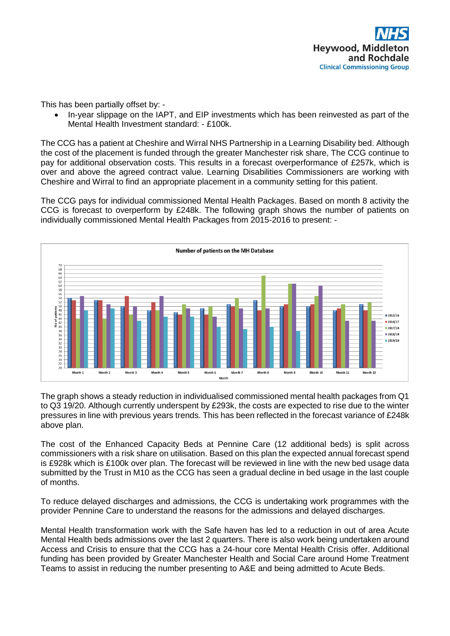This has been partially offset by: -

• In-year slippage on the IAPT, and EIP investments which has been reinvested as part of the Mental Health Investment standard: - £100k.

The CCG has a patient at Cheshire and Wirral NHS Partnership in a Learning Disability bed. Although the cost of the placement is funded through the greater Manchester risk share, The CCG continue to pay for additional observation costs. This results in a forecast overperformance of £257k, which is over and above the agreed contract value. Learning Disabilities Commissioners are working with Cheshire and Wirral to find an appropriate placement in a community setting for this patient.

The CCG pays for individual commissioned Mental Health Packages. Based on month 8 activity the CCG is forecast to overperform by £248k. The following graph shows the number of patients on individually commissioned Mental Health Packages from 2015-2016 to present: -



The graph shows a steady reduction in individualised commissioned mental health packages from Q1 to Q3 19/20. Although currently underspent by £293k, the costs are expected to rise due to the winter pressures in line with previous years trends. This has been reflected in the forecast variance of £248k above plan.

The cost of the Enhanced Capacity Beds at Pennine Care (12 additional beds) is split across commissioners with a risk share on utilisation. Based on this plan the expected annual forecast spend is £928k which is £100k over plan. The forecast will be reviewed in line with the new bed usage data submitted by the Trust in M10 as the CCG has seen a gradual decline in bed usage in the last couple of months.

To reduce delayed discharges and admissions, the CCG is undertaking work programmes with the provider Pennine Care to understand the reasons for the admissions and delayed discharges.

Mental Health transformation work with the Safe haven has led to a reduction in out of area Acute Mental Health beds admissions over the last 2 quarters. There is also work being undertaken around Access and Crisis to ensure that the CCG has a 24-hour core Mental Health Crisis offer. Additional funding has been provided by Greater Manchester Health and Social Care around Home Treatment Teams to assist in reducing the number presenting to A&E and being admitted to Acute Beds.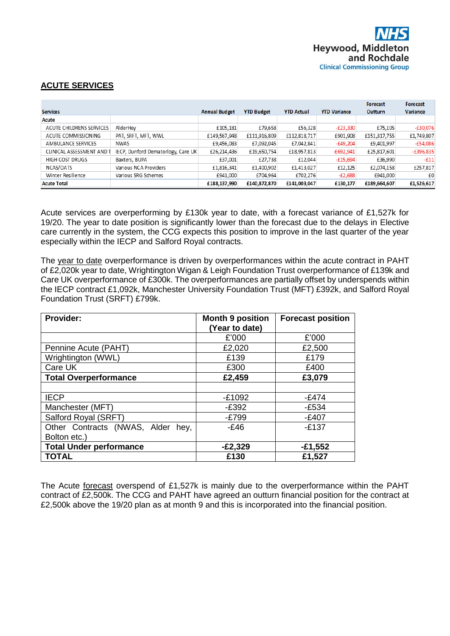

# **ACUTE SERVICES**

|                           |                                    |                      |                   |                   |                     | <b>Forecast</b> | Forecast        |
|---------------------------|------------------------------------|----------------------|-------------------|-------------------|---------------------|-----------------|-----------------|
| <b>Services</b>           |                                    | <b>Annual Budget</b> | <b>YTD Budget</b> | <b>YTD Actual</b> | <b>YTD Variance</b> | <b>Outturn</b>  | <b>Variance</b> |
| Acute                     |                                    |                      |                   |                   |                     |                 |                 |
| ACUTE CHILDRENS SERVICES  | AlderHev                           | £105,181             | £79,658           | £56,328           | $-E23,330$          | £75,105         | $-£30,076$      |
| ACUTE COMMISSIONING       | PAT, SRFT, MFT, WWL                | £149,567,948         | £111,916,809      | £112,818,717      | £901,908            | £151,317,755    | £1,749,807      |
| AMBULANCE SERVICES        | NWAS                               | £9,456,083           | £7,092,045        | £7,042,841        | $-£49,204$          | £9,401,997      | $-£54,086$      |
| CLINICAL ASSESSMENT AND T | IECP, Dunford Dematorlogy, Care UK | £26,214,436          | £19,650,754       | £18,957,813       | $-£692,941$         | £25,817,601     | $-£396,835$     |
| HIGH COST DRUGS           | Baxters, BUPA                      | £37,001              | £27,738           | £12,044           | $-£15,694$          | £36,990         | $-f11$          |
| NCAS/OATS                 | Various NCA Providers              | £1,816,341           | £1,400,902        | £1,413,027        | £12,125             | £2,074,158      | £257,817        |
| Winter Resilience         | Various SRG Schemes                | £941.000             | £704.964          | £702.276          | $-£2,688$           | £941,000        | £0              |
| <b>Acute Total</b>        |                                    | £188,137,990         | £140,872,870      | £141,003,047      | £130,177            | £189,664,607    | £1,526,617      |

Acute services are overperforming by £130k year to date, with a forecast variance of £1,527k for 19/20. The year to date position is significantly lower than the forecast due to the delays in Elective care currently in the system, the CCG expects this position to improve in the last quarter of the year especially within the IECP and Salford Royal contracts.

The year to date overperformance is driven by overperformances within the acute contract in PAHT of £2,020k year to date, Wrightington Wigan & Leigh Foundation Trust overperformance of £139k and Care UK overperformance of £300k. The overperformances are partially offset by underspends within the IECP contract £1,092k, Manchester University Foundation Trust (MFT) £392k, and Salford Royal Foundation Trust (SRFT) £799k.

| Provider:                         | <b>Month 9 position</b> | <b>Forecast position</b> |
|-----------------------------------|-------------------------|--------------------------|
|                                   | (Year to date)          |                          |
|                                   | £'000                   | £'000                    |
| Pennine Acute (PAHT)              | £2,020                  | £2,500                   |
| Wrightington (WWL)                | £139                    | £179                     |
| Care UK                           | £300                    | £400                     |
| <b>Total Overperformance</b>      | £2,459                  | £3,079                   |
|                                   |                         |                          |
| <b>IECP</b>                       | $-£1092$                | $-E474$                  |
| Manchester (MFT)                  | $-E392$                 | $-E534$                  |
| Salford Royal (SRFT)              | $-E799$                 | $-£407$                  |
| Other Contracts (NWAS, Alder hey, | $-E46$                  | $-E137$                  |
| Bolton etc.)                      |                         |                          |
| <b>Total Under performance</b>    | $-E2,329$               | $-£1,552$                |
| <b>TOTAL</b>                      | £130                    | £1,527                   |

The Acute forecast overspend of £1,527k is mainly due to the overperformance within the PAHT contract of £2,500k. The CCG and PAHT have agreed an outturn financial position for the contract at £2,500k above the 19/20 plan as at month 9 and this is incorporated into the financial position.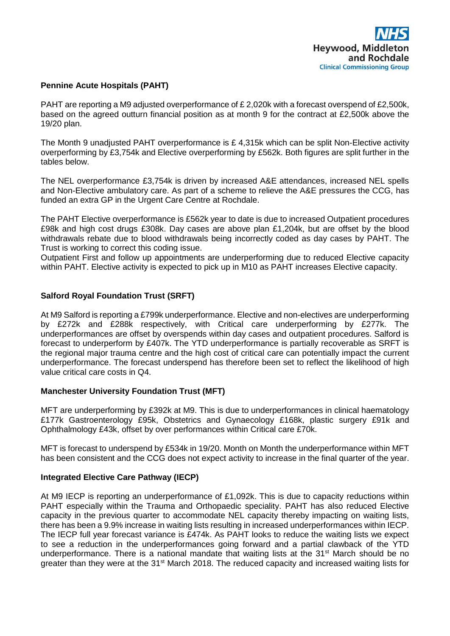# **Pennine Acute Hospitals (PAHT)**

PAHT are reporting a M9 adjusted overperformance of £2,020k with a forecast overspend of £2,500k, based on the agreed outturn financial position as at month 9 for the contract at £2,500k above the 19/20 plan.

The Month 9 unadjusted PAHT overperformance is £ 4,315k which can be split Non-Elective activity overperforming by £3,754k and Elective overperforming by £562k. Both figures are split further in the tables below.

The NEL overperformance £3,754k is driven by increased A&E attendances, increased NEL spells and Non-Elective ambulatory care. As part of a scheme to relieve the A&E pressures the CCG, has funded an extra GP in the Urgent Care Centre at Rochdale.

The PAHT Elective overperformance is £562k year to date is due to increased Outpatient procedures £98k and high cost drugs £308k. Day cases are above plan £1,204k, but are offset by the blood withdrawals rebate due to blood withdrawals being incorrectly coded as day cases by PAHT. The Trust is working to correct this coding issue.

Outpatient First and follow up appointments are underperforming due to reduced Elective capacity within PAHT. Elective activity is expected to pick up in M10 as PAHT increases Elective capacity.

# **Salford Royal Foundation Trust (SRFT)**

At M9 Salford is reporting a £799k underperformance. Elective and non-electives are underperforming by £272k and £288k respectively, with Critical care underperforming by £277k. The underperformances are offset by overspends within day cases and outpatient procedures. Salford is forecast to underperform by £407k. The YTD underperformance is partially recoverable as SRFT is the regional major trauma centre and the high cost of critical care can potentially impact the current underperformance. The forecast underspend has therefore been set to reflect the likelihood of high value critical care costs in Q4.

#### **Manchester University Foundation Trust (MFT)**

MFT are underperforming by £392k at M9. This is due to underperformances in clinical haematology £177k Gastroenterology £95k, Obstetrics and Gynaecology £168k, plastic surgery £91k and Ophthalmology £43k, offset by over performances within Critical care £70k.

MFT is forecast to underspend by £534k in 19/20. Month on Month the underperformance within MFT has been consistent and the CCG does not expect activity to increase in the final quarter of the year.

#### **Integrated Elective Care Pathway (IECP)**

At M9 IECP is reporting an underperformance of £1,092k. This is due to capacity reductions within PAHT especially within the Trauma and Orthopaedic speciality. PAHT has also reduced Elective capacity in the previous quarter to accommodate NEL capacity thereby impacting on waiting lists, there has been a 9.9% increase in waiting lists resulting in increased underperformances within IECP. The IECP full year forecast variance is £474k. As PAHT looks to reduce the waiting lists we expect to see a reduction in the underperformances going forward and a partial clawback of the YTD underperformance. There is a national mandate that waiting lists at the  $31<sup>st</sup>$  March should be no greater than they were at the 31<sup>st</sup> March 2018. The reduced capacity and increased waiting lists for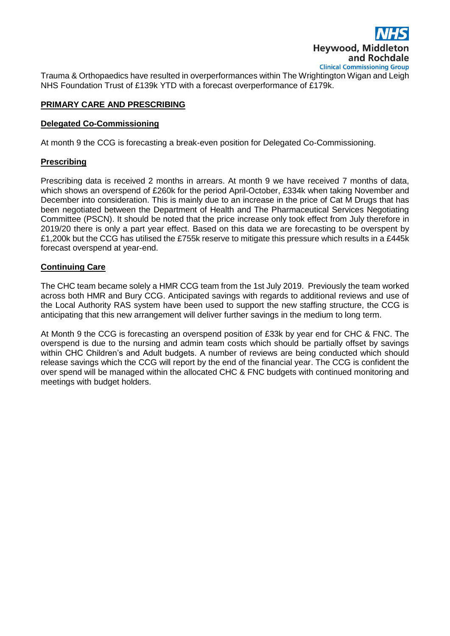

Trauma & Orthopaedics have resulted in overperformances within The Wrightington Wigan and Leigh NHS Foundation Trust of £139k YTD with a forecast overperformance of £179k.

# **PRIMARY CARE AND PRESCRIBING**

#### **Delegated Co-Commissioning**

At month 9 the CCG is forecasting a break-even position for Delegated Co-Commissioning.

#### **Prescribing**

Prescribing data is received 2 months in arrears. At month 9 we have received 7 months of data, which shows an overspend of £260k for the period April-October, £334k when taking November and December into consideration. This is mainly due to an increase in the price of Cat M Drugs that has been negotiated between the Department of Health and The Pharmaceutical Services Negotiating Committee (PSCN). It should be noted that the price increase only took effect from July therefore in 2019/20 there is only a part year effect. Based on this data we are forecasting to be overspent by £1,200k but the CCG has utilised the £755k reserve to mitigate this pressure which results in a £445k forecast overspend at year-end.

#### **Continuing Care**

The CHC team became solely a HMR CCG team from the 1st July 2019. Previously the team worked across both HMR and Bury CCG. Anticipated savings with regards to additional reviews and use of the Local Authority RAS system have been used to support the new staffing structure, the CCG is anticipating that this new arrangement will deliver further savings in the medium to long term.

At Month 9 the CCG is forecasting an overspend position of £33k by year end for CHC & FNC. The overspend is due to the nursing and admin team costs which should be partially offset by savings within CHC Children's and Adult budgets. A number of reviews are being conducted which should release savings which the CCG will report by the end of the financial year. The CCG is confident the over spend will be managed within the allocated CHC & FNC budgets with continued monitoring and meetings with budget holders.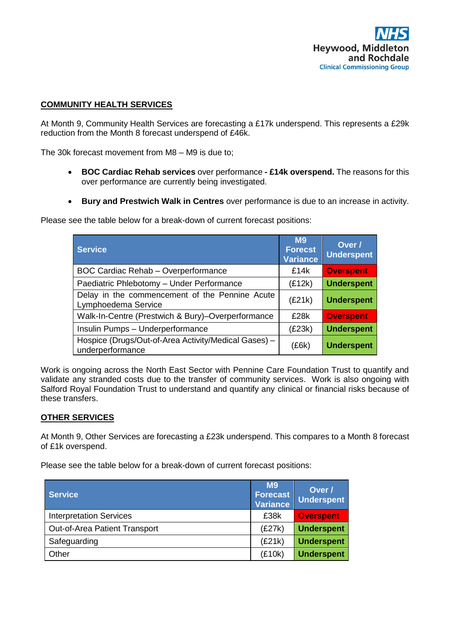# **COMMUNITY HEALTH SERVICES**

At Month 9, Community Health Services are forecasting a £17k underspend. This represents a £29k reduction from the Month 8 forecast underspend of £46k.

The 30k forecast movement from M8 – M9 is due to;

- **BOC Cardiac Rehab services** over performance **- £14k overspend.** The reasons for this over performance are currently being investigated.
- **Bury and Prestwich Walk in Centres** over performance is due to an increase in activity.

Please see the table below for a break-down of current forecast positions:

| <b>Service</b>                                                           | <b>M9</b><br><b>Forecst</b><br><b>Variance</b> | Over /<br><b>Underspent</b> |
|--------------------------------------------------------------------------|------------------------------------------------|-----------------------------|
| <b>BOC Cardiac Rehab - Overperformance</b>                               | £14k                                           | <b>Overspent</b>            |
| Paediatric Phlebotomy - Under Performance                                | (E12k)                                         | <b>Underspent</b>           |
| Delay in the commencement of the Pennine Acute<br>Lymphoedema Service    | (E21k)                                         | <b>Underspent</b>           |
| Walk-In-Centre (Prestwich & Bury)-Overperformance                        | £28k                                           | <b>Overspent</b>            |
| Insulin Pumps - Underperformance                                         | (E23k)                                         | <b>Underspent</b>           |
| Hospice (Drugs/Out-of-Area Activity/Medical Gases) -<br>underperformance | (£6k)                                          | <b>Underspent</b>           |

Work is ongoing across the North East Sector with Pennine Care Foundation Trust to quantify and validate any stranded costs due to the transfer of community services. Work is also ongoing with Salford Royal Foundation Trust to understand and quantify any clinical or financial risks because of these transfers.

#### **OTHER SERVICES**

At Month 9, Other Services are forecasting a £23k underspend. This compares to a Month 8 forecast of £1k overspend.

Please see the table below for a break-down of current forecast positions:

| <b>Service</b>                 | M <sub>9</sub><br><b>Forecast</b><br><b>Variance</b> | Over /<br><b>Underspent</b> |
|--------------------------------|------------------------------------------------------|-----------------------------|
| <b>Interpretation Services</b> | £38k                                                 | <b>Overspent</b>            |
| Out-of-Area Patient Transport  | (E27k)                                               | <b>Underspent</b>           |
| Safeguarding                   | (E21k)                                               | <b>Underspent</b>           |
| Other                          | (£10k)                                               | <b>Underspent</b>           |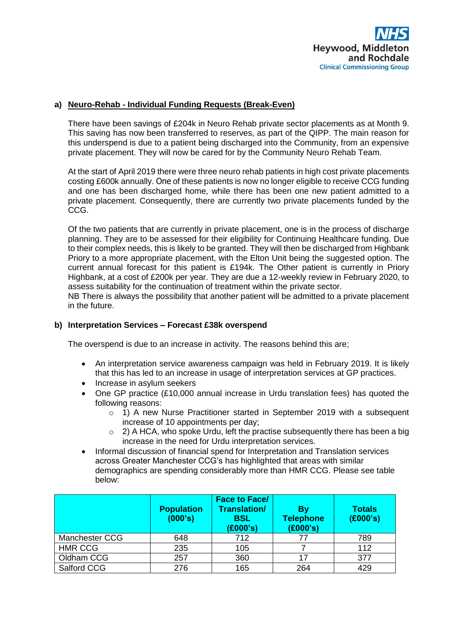# **a) Neuro-Rehab - Individual Funding Requests (Break-Even)**

There have been savings of £204k in Neuro Rehab private sector placements as at Month 9. This saving has now been transferred to reserves, as part of the QIPP. The main reason for this underspend is due to a patient being discharged into the Community, from an expensive private placement. They will now be cared for by the Community Neuro Rehab Team.

At the start of April 2019 there were three neuro rehab patients in high cost private placements costing £600k annually. One of these patients is now no longer eligible to receive CCG funding and one has been discharged home, while there has been one new patient admitted to a private placement. Consequently, there are currently two private placements funded by the CCG.

Of the two patients that are currently in private placement, one is in the process of discharge planning. They are to be assessed for their eligibility for Continuing Healthcare funding. Due to their complex needs, this is likely to be granted. They will then be discharged from Highbank Priory to a more appropriate placement, with the Elton Unit being the suggested option. The current annual forecast for this patient is £194k. The Other patient is currently in Priory Highbank, at a cost of £200k per year. They are due a 12-weekly review in February 2020, to assess suitability for the continuation of treatment within the private sector.

NB There is always the possibility that another patient will be admitted to a private placement in the future.

#### **b) Interpretation Services – Forecast £38k overspend**

The overspend is due to an increase in activity. The reasons behind this are;

- An interpretation service awareness campaign was held in February 2019. It is likely that this has led to an increase in usage of interpretation services at GP practices.
- Increase in asylum seekers
- One GP practice (£10,000 annual increase in Urdu translation fees) has quoted the following reasons:
	- $\circ$  1) A new Nurse Practitioner started in September 2019 with a subsequent increase of 10 appointments per day;
	- o 2) A HCA, who spoke Urdu, left the practise subsequently there has been a big increase in the need for Urdu interpretation services.
- Informal discussion of financial spend for Interpretation and Translation services across Greater Manchester CCG's has highlighted that areas with similar demographics are spending considerably more than HMR CCG. Please see table below:

|                | <b>Population</b><br>(000's) | <b>Face to Face/</b><br><b>Translation/</b><br><b>BSL</b><br>(E000's) | Bv<br><b>Telephone</b><br>(£000's) | <b>Totals</b><br>(E000's) |
|----------------|------------------------------|-----------------------------------------------------------------------|------------------------------------|---------------------------|
| Manchester CCG | 648                          | 712                                                                   | 77                                 | 789                       |
| <b>HMR CCG</b> | 235                          | 105                                                                   |                                    | 112                       |
| Oldham CCG     | 257                          | 360                                                                   | 17                                 | 377                       |
| Salford CCG    | 276                          | 165                                                                   | 264                                | 429                       |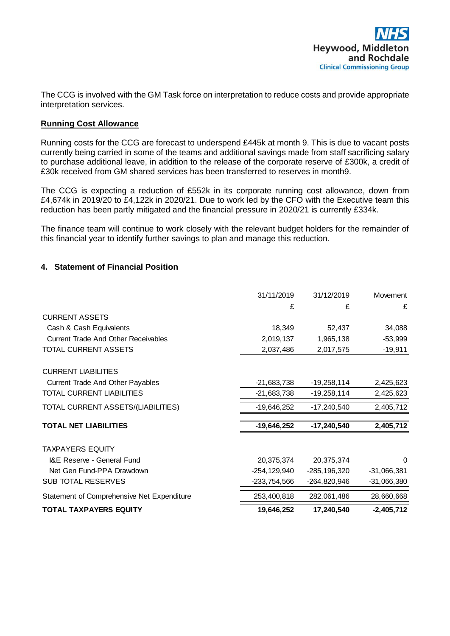The CCG is involved with the GM Task force on interpretation to reduce costs and provide appropriate interpretation services.

# **Running Cost Allowance**

Running costs for the CCG are forecast to underspend £445k at month 9. This is due to vacant posts currently being carried in some of the teams and additional savings made from staff sacrificing salary to purchase additional leave, in addition to the release of the corporate reserve of £300k, a credit of £30k received from GM shared services has been transferred to reserves in month9.

The CCG is expecting a reduction of £552k in its corporate running cost allowance, down from £4,674k in 2019/20 to £4,122k in 2020/21. Due to work led by the CFO with the Executive team this reduction has been partly mitigated and the financial pressure in 2020/21 is currently £334k.

The finance team will continue to work closely with the relevant budget holders for the remainder of this financial year to identify further savings to plan and manage this reduction.

# **4. Statement of Financial Position**

|                                            | 31/11/2019    | 31/12/2019    | Movement      |
|--------------------------------------------|---------------|---------------|---------------|
|                                            | £             | £             | £             |
| <b>CURRENT ASSETS</b>                      |               |               |               |
| Cash & Cash Equivalents                    | 18,349        | 52,437        | 34,088        |
| Current Trade And Other Receivables        | 2,019,137     | 1,965,138     | $-53,999$     |
| TOTAL CURRENT ASSETS                       | 2,037,486     | 2,017,575     | $-19,911$     |
| <b>CURRENT LIABILITIES</b>                 |               |               |               |
| Current Trade And Other Payables           | $-21,683,738$ | $-19,258,114$ | 2,425,623     |
| TOTAL CURRENT LIABILITIES                  | $-21,683,738$ | $-19,258,114$ | 2,425,623     |
| TOTAL CURRENT ASSETS/(LIABILITIES)         | $-19,646,252$ | $-17,240,540$ | 2,405,712     |
| <b>TOTAL NET LIABILITIES</b>               | $-19,646,252$ | $-17,240,540$ | 2,405,712     |
| <b>TAXPAYERS EQUITY</b>                    |               |               |               |
| I&E Reserve - General Fund                 | 20,375,374    | 20,375,374    | $\Omega$      |
| Net Gen Fund-PPA Drawdown                  | -254,129,940  | -285,196,320  | $-31,066,381$ |
| <b>SUB TOTAL RESERVES</b>                  | -233,754,566  | -264,820,946  | $-31,066,380$ |
| Statement of Comprehensive Net Expenditure | 253,400,818   | 282,061,486   | 28,660,668    |
| <b>TOTAL TAXPAYERS EQUITY</b>              | 19,646,252    | 17,240,540    | $-2,405,712$  |